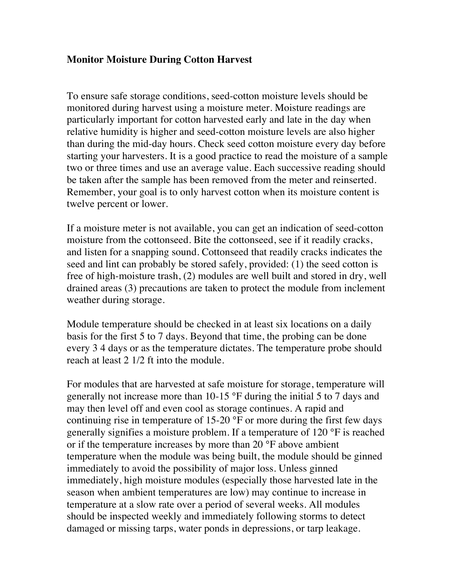## **Monitor Moisture During Cotton Harvest**

To ensure safe storage conditions, seed-cotton moisture levels should be monitored during harvest using a moisture meter. Moisture readings are particularly important for cotton harvested early and late in the day when relative humidity is higher and seed-cotton moisture levels are also higher than during the mid-day hours. Check seed cotton moisture every day before starting your harvesters. It is a good practice to read the moisture of a sample two or three times and use an average value. Each successive reading should be taken after the sample has been removed from the meter and reinserted. Remember, your goal is to only harvest cotton when its moisture content is twelve percent or lower.

If a moisture meter is not available, you can get an indication of seed-cotton moisture from the cottonseed. Bite the cottonseed, see if it readily cracks, and listen for a snapping sound. Cottonseed that readily cracks indicates the seed and lint can probably be stored safely, provided: (1) the seed cotton is free of high-moisture trash, (2) modules are well built and stored in dry, well drained areas (3) precautions are taken to protect the module from inclement weather during storage.

Module temperature should be checked in at least six locations on a daily basis for the first 5 to 7 days. Beyond that time, the probing can be done every 3 4 days or as the temperature dictates. The temperature probe should reach at least 2 1/2 ft into the module.

For modules that are harvested at safe moisture for storage, temperature will generally not increase more than 10-15 °F during the initial 5 to 7 days and may then level off and even cool as storage continues. A rapid and continuing rise in temperature of 15-20 °F or more during the first few days generally signifies a moisture problem. If a temperature of 120 °F is reached or if the temperature increases by more than 20 °F above ambient temperature when the module was being built, the module should be ginned immediately to avoid the possibility of major loss. Unless ginned immediately, high moisture modules (especially those harvested late in the season when ambient temperatures are low) may continue to increase in temperature at a slow rate over a period of several weeks. All modules should be inspected weekly and immediately following storms to detect damaged or missing tarps, water ponds in depressions, or tarp leakage.